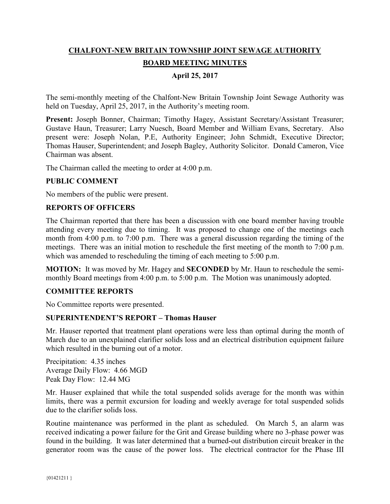# **CHALFONT-NEW BRITAIN TOWNSHIP JOINT SEWAGE AUTHORITY BOARD MEETING MINUTES**

# **April 25, 2017**

The semi-monthly meeting of the Chalfont-New Britain Township Joint Sewage Authority was held on Tuesday, April 25, 2017, in the Authority's meeting room.

Present: Joseph Bonner, Chairman; Timothy Hagey, Assistant Secretary/Assistant Treasurer; Gustave Haun, Treasurer; Larry Nuesch, Board Member and William Evans, Secretary. Also present were: Joseph Nolan, P.E, Authority Engineer; John Schmidt, Executive Director; Thomas Hauser, Superintendent; and Joseph Bagley, Authority Solicitor. Donald Cameron, Vice Chairman was absent.

The Chairman called the meeting to order at 4:00 p.m.

#### **PUBLIC COMMENT**

No members of the public were present.

#### **REPORTS OF OFFICERS**

The Chairman reported that there has been a discussion with one board member having trouble attending every meeting due to timing. It was proposed to change one of the meetings each month from 4:00 p.m. to 7:00 p.m. There was a general discussion regarding the timing of the meetings. There was an initial motion to reschedule the first meeting of the month to 7:00 p.m. which was amended to rescheduling the timing of each meeting to 5:00 p.m.

**MOTION:** It was moved by Mr. Hagey and **SECONDED** by Mr. Haun to reschedule the semimonthly Board meetings from 4:00 p.m. to 5:00 p.m. The Motion was unanimously adopted.

#### **COMMITTEE REPORTS**

No Committee reports were presented.

#### **SUPERINTENDENT'S REPORT – Thomas Hauser**

Mr. Hauser reported that treatment plant operations were less than optimal during the month of March due to an unexplained clarifier solids loss and an electrical distribution equipment failure which resulted in the burning out of a motor.

Precipitation: 4.35 inches Average Daily Flow: 4.66 MGD Peak Day Flow: 12.44 MG

Mr. Hauser explained that while the total suspended solids average for the month was within limits, there was a permit excursion for loading and weekly average for total suspended solids due to the clarifier solids loss.

Routine maintenance was performed in the plant as scheduled. On March 5, an alarm was received indicating a power failure for the Grit and Grease building where no 3-phase power was found in the building. It was later determined that a burned-out distribution circuit breaker in the generator room was the cause of the power loss. The electrical contractor for the Phase III